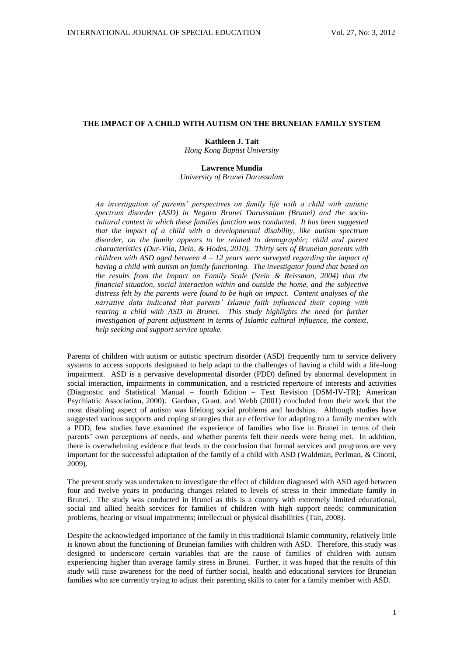# **THE IMPACT OF A CHILD WITH AUTISM ON THE BRUNEIAN FAMILY SYSTEM**

## **Kathleen J. Tait**

*Hong Kong Baptist University*

## **Lawrence Mundia**

*University of Brunei Darussalam*

*An investigation of parents' perspectives on family life with a child with autistic spectrum disorder (ASD) in Negara Brunei Darussalam (Brunei) and the sociocultural context in which these families function was conducted. It has been suggested that the impact of a child with a developmental disability, like autism spectrum*  disorder, on the family appears to be related to demographic; child and parent *characteristics (Dur-Vila, Dein, & Hodes, 2010). Thirty sets of Bruneian parents with children with ASD aged between 4 – 12 years were surveyed regarding the impact of having a child with autism on family functioning. The investigator found that based on the results from the Impact on Family Scale (Stein & Reissman, 2004) that the financial situation, social interaction within and outside the home, and the subjective distress felt by the parents were found to be high on impact. Content analyses of the narrative data indicated that parents' Islamic faith influenced their coping with rearing a child with ASD in Brunei. This study highlights the need for further investigation of parent adjustment in terms of Islamic cultural influence, the context, help seeking and support service uptake.*

Parents of children with autism or autistic spectrum disorder (ASD) frequently turn to service delivery systems to access supports designated to help adapt to the challenges of having a child with a life-long impairment. ASD is a pervasive developmental disorder (PDD) defined by abnormal development in social interaction, impairments in communication, and a restricted repertoire of interests and activities (Diagnostic and Statistical Manual – fourth Edition – Text Revision [DSM-IV-TR]; American Psychiatric Association, 2000). Gardner, Grant, and Webb (2001) concluded from their work that the most disabling aspect of autism was lifelong social problems and hardships. Although studies have suggested various supports and coping strategies that are effective for adapting to a family member with a PDD, few studies have examined the experience of families who live in Brunei in terms of their parents' own perceptions of needs, and whether parents felt their needs were being met. In addition, there is overwhelming evidence that leads to the conclusion that formal services and programs are very important for the successful adaptation of the family of a child with ASD (Waldman, Perlman, & Cinotti, 2009).

The present study was undertaken to investigate the effect of children diagnosed with ASD aged between four and twelve years in producing changes related to levels of stress in their immediate family in Brunei. The study was conducted in Brunei as this is a country with extremely limited educational, social and allied health services for families of children with high support needs; communication problems, hearing or visual impairments; intellectual or physical disabilities (Tait, 2008).

Despite the acknowledged importance of the family in this traditional Islamic community, relatively little is known about the functioning of Bruneian families with children with ASD. Therefore, this study was designed to underscore certain variables that are the cause of families of children with autism experiencing higher than average family stress in Brunei. Further, it was hoped that the results of this study will raise awareness for the need of further social, health and educational services for Bruneian families who are currently trying to adjust their parenting skills to cater for a family member with ASD.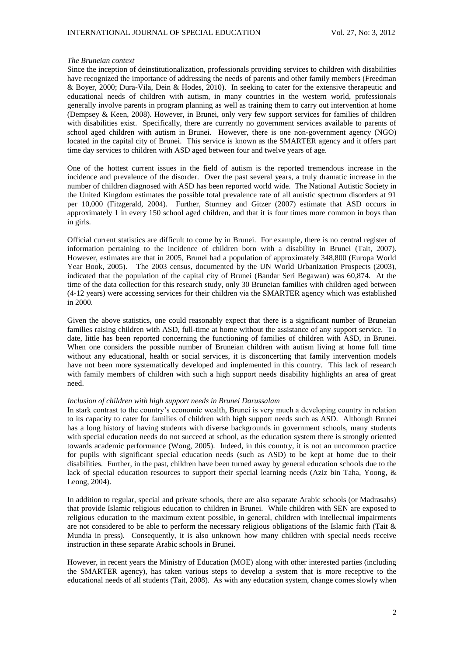#### *The Bruneian context*

Since the inception of deinstitutionalization, professionals providing services to children with disabilities have recognized the importance of addressing the needs of parents and other family members (Freedman & Boyer, 2000; Dura-Vila, Dein & Hodes, 2010). In seeking to cater for the extensive therapeutic and educational needs of children with autism, in many countries in the western world, professionals generally involve parents in program planning as well as training them to carry out intervention at home (Dempsey & Keen, 2008). However, in Brunei, only very few support services for families of children with disabilities exist. Specifically, there are currently no government services available to parents of school aged children with autism in Brunei. However, there is one non-government agency (NGO) located in the capital city of Brunei. This service is known as the SMARTER agency and it offers part time day services to children with ASD aged between four and twelve years of age.

One of the hottest current issues in the field of autism is the reported tremendous increase in the incidence and prevalence of the disorder. Over the past several years, a truly dramatic increase in the number of children diagnosed with ASD has been reported world wide. The National Autistic Society in the United Kingdom estimates the possible total prevalence rate of all autistic spectrum disorders at 91 per 10,000 (Fitzgerald, 2004). Further, Sturmey and Gitzer (2007) estimate that ASD occurs in approximately 1 in every 150 school aged children, and that it is four times more common in boys than in girls.

Official current statistics are difficult to come by in Brunei. For example, there is no central register of information pertaining to the incidence of children born with a disability in Brunei (Tait, 2007). However, estimates are that in 2005, Brunei had a population of approximately 348,800 (Europa World Year Book, 2005). The 2003 census, documented by the UN World Urbanization Prospects (2003), indicated that the population of the capital city of Brunei (Bandar Seri Begawan) was 60,874. At the time of the data collection for this research study, only 30 Bruneian families with children aged between (4-12 years) were accessing services for their children via the SMARTER agency which was established in 2000.

Given the above statistics, one could reasonably expect that there is a significant number of Bruneian families raising children with ASD, full-time at home without the assistance of any support service. To date, little has been reported concerning the functioning of families of children with ASD, in Brunei. When one considers the possible number of Bruneian children with autism living at home full time without any educational, health or social services, it is disconcerting that family intervention models have not been more systematically developed and implemented in this country. This lack of research with family members of children with such a high support needs disability highlights an area of great need.

### *Inclusion of children with high support needs in Brunei Darussalam*

In stark contrast to the country's economic wealth, Brunei is very much a developing country in relation to its capacity to cater for families of children with high support needs such as ASD. Although Brunei has a long history of having students with diverse backgrounds in government schools, many students with special education needs do not succeed at school, as the education system there is strongly oriented towards academic performance (Wong, 2005). Indeed, in this country, it is not an uncommon practice for pupils with significant special education needs (such as ASD) to be kept at home due to their disabilities. Further, in the past, children have been turned away by general education schools due to the lack of special education resources to support their special learning needs (Aziz bin Taha, Yoong, & Leong, 2004).

In addition to regular, special and private schools, there are also separate Arabic schools (or Madrasahs) that provide Islamic religious education to children in Brunei. While children with SEN are exposed to religious education to the maximum extent possible, in general, children with intellectual impairments are not considered to be able to perform the necessary religious obligations of the Islamic faith (Tait & Mundia in press). Consequently, it is also unknown how many children with special needs receive instruction in these separate Arabic schools in Brunei.

However, in recent years the Ministry of Education (MOE) along with other interested parties (including the SMARTER agency), has taken various steps to develop a system that is more receptive to the educational needs of all students (Tait, 2008). As with any education system, change comes slowly when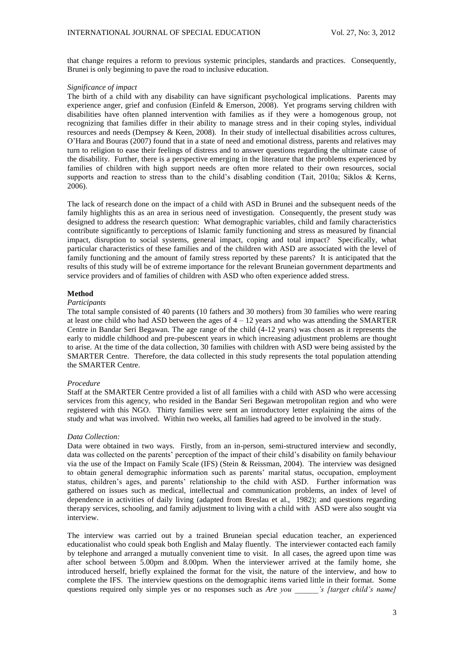that change requires a reform to previous systemic principles, standards and practices. Consequently, Brunei is only beginning to pave the road to inclusive education.

### *Significance of impact*

The birth of a child with any disability can have significant psychological implications. Parents may experience anger, grief and confusion (Einfeld & Emerson, 2008). Yet programs serving children with disabilities have often planned intervention with families as if they were a homogenous group, not recognizing that families differ in their ability to manage stress and in their coping styles, individual resources and needs (Dempsey & Keen, 2008). In their study of intellectual disabilities across cultures, O'Hara and Bouras (2007) found that in a state of need and emotional distress, parents and relatives may turn to religion to ease their feelings of distress and to answer questions regarding the ultimate cause of the disability. Further, there is a perspective emerging in the literature that the problems experienced by families of children with high support needs are often more related to their own resources, social supports and reaction to stress than to the child's disabling condition (Tait, 2010a; Siklos & Kerns, 2006).

The lack of research done on the impact of a child with ASD in Brunei and the subsequent needs of the family highlights this as an area in serious need of investigation. Consequently, the present study was designed to address the research question: What demographic variables, child and family characteristics contribute significantly to perceptions of Islamic family functioning and stress as measured by financial impact, disruption to social systems, general impact, coping and total impact? Specifically, what particular characteristics of these families and of the children with ASD are associated with the level of family functioning and the amount of family stress reported by these parents? It is anticipated that the results of this study will be of extreme importance for the relevant Bruneian government departments and service providers and of families of children with ASD who often experience added stress.

## **Method**

## *Participants*

The total sample consisted of 40 parents (10 fathers and 30 mothers) from 30 families who were rearing at least one child who had ASD between the ages of  $4 - 12$  years and who was attending the SMARTER Centre in Bandar Seri Begawan. The age range of the child (4-12 years) was chosen as it represents the early to middle childhood and pre-pubescent years in which increasing adjustment problems are thought to arise. At the time of the data collection, 30 families with children with ASD were being assisted by the SMARTER Centre. Therefore, the data collected in this study represents the total population attending the SMARTER Centre.

### *Procedure*

Staff at the SMARTER Centre provided a list of all families with a child with ASD who were accessing services from this agency, who resided in the Bandar Seri Begawan metropolitan region and who were registered with this NGO. Thirty families were sent an introductory letter explaining the aims of the study and what was involved. Within two weeks, all families had agreed to be involved in the study.

#### *Data Collection:*

Data were obtained in two ways. Firstly, from an in-person, semi-structured interview and secondly, data was collected on the parents' perception of the impact of their child's disability on family behaviour via the use of the Impact on Family Scale (IFS) (Stein & Reissman, 2004). The interview was designed to obtain general demographic information such as parents' marital status, occupation, employment status, children's ages, and parents' relationship to the child with ASD. Further information was gathered on issues such as medical, intellectual and communication problems, an index of level of dependence in activities of daily living (adapted from Breslau et al., 1982); and questions regarding therapy services, schooling, and family adjustment to living with a child with ASD were also sought via interview.

The interview was carried out by a trained Bruneian special education teacher, an experienced educationalist who could speak both English and Malay fluently. The interviewer contacted each family by telephone and arranged a mutually convenient time to visit. In all cases, the agreed upon time was after school between 5.00pm and 8.00pm. When the interviewer arrived at the family home, she introduced herself, briefly explained the format for the visit, the nature of the interview, and how to complete the IFS. The interview questions on the demographic items varied little in their format. Some questions required only simple yes or no responses such as *Are you 's [target child's name]*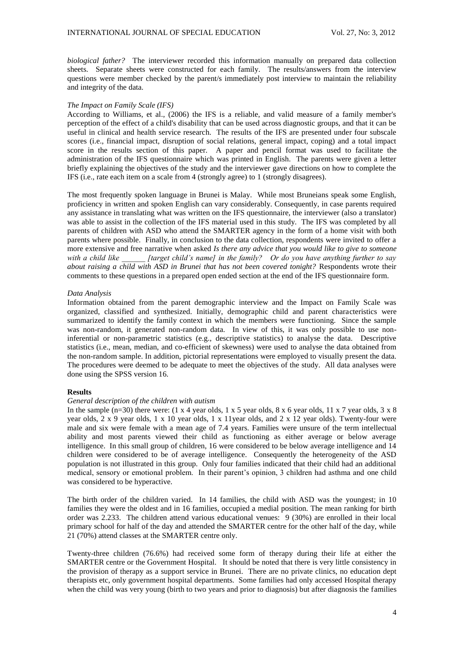*biological father?* The interviewer recorded this information manually on prepared data collection sheets. Separate sheets were constructed for each family. The results/answers from the interview questions were member checked by the parent/s immediately post interview to maintain the reliability and integrity of the data.

### *The Impact on Family Scale (IFS)*

According to Williams, et al., (2006) the IFS is a reliable, and valid measure of a family member's perception of the effect of a child's disability that can be used across diagnostic groups, and that it can be useful in clinical and health service research. The results of the IFS are presented under four subscale scores (i.e., financial impact, disruption of social relations, general impact, coping) and a total impact score in the results section of this paper. A paper and pencil format was used to facilitate the administration of the IFS questionnaire which was printed in English. The parents were given a letter briefly explaining the objectives of the study and the interviewer gave directions on how to complete the IFS (i.e., rate each item on a scale from 4 (strongly agree) to 1 (strongly disagrees).

The most frequently spoken language in Brunei is Malay. While most Bruneians speak some English, proficiency in written and spoken English can vary considerably. Consequently, in case parents required any assistance in translating what was written on the IFS questionnaire, the interviewer (also a translator) was able to assist in the collection of the IFS material used in this study. The IFS was completed by all parents of children with ASD who attend the SMARTER agency in the form of a home visit with both parents where possible. Finally, in conclusion to the data collection, respondents were invited to offer a more extensive and free narrative when asked *Is there any advice that you would like to give to someone with a child like \_\_\_\_\_\_ [target child's name] in the family? Or do you have anything further to say about raising a child with ASD in Brunei that has not been covered tonight?* Respondents wrote their comments to these questions in a prepared open ended section at the end of the IFS questionnaire form.

## *Data Analysis*

Information obtained from the parent demographic interview and the Impact on Family Scale was organized, classified and synthesized. Initially, demographic child and parent characteristics were summarized to identify the family context in which the members were functioning. Since the sample was non-random, it generated non-random data. In view of this, it was only possible to use noninferential or non-parametric statistics (e.g., descriptive statistics) to analyse the data. Descriptive statistics (i.e., mean, median, and co-efficient of skewness) were used to analyse the data obtained from the non-random sample. In addition, pictorial representations were employed to visually present the data. The procedures were deemed to be adequate to meet the objectives of the study. All data analyses were done using the SPSS version 16.

## **Results**

# *General description of the children with autism*

In the sample  $(n=30)$  there were:  $(1 \times 4$  year olds,  $1 \times 5$  year olds,  $8 \times 6$  year olds,  $11 \times 7$  year olds,  $3 \times 8$ year olds, 2 x 9 year olds, 1 x 10 year olds, 1 x 11year olds, and 2 x 12 year olds). Twenty-four were male and six were female with a mean age of 7.4 years. Families were unsure of the term intellectual ability and most parents viewed their child as functioning as either average or below average intelligence. In this small group of children, 16 were considered to be below average intelligence and 14 children were considered to be of average intelligence. Consequently the heterogeneity of the ASD population is not illustrated in this group. Only four families indicated that their child had an additional medical, sensory or emotional problem. In their parent's opinion, 3 children had asthma and one child was considered to be hyperactive.

The birth order of the children varied. In 14 families, the child with ASD was the youngest; in 10 families they were the oldest and in 16 families, occupied a medial position. The mean ranking for birth order was 2.233. The children attend various educational venues: 9 (30%) are enrolled in their local primary school for half of the day and attended the SMARTER centre for the other half of the day, while 21 (70%) attend classes at the SMARTER centre only.

Twenty-three children (76.6%) had received some form of therapy during their life at either the SMARTER centre or the Government Hospital. It should be noted that there is very little consistency in the provision of therapy as a support service in Brunei. There are no private clinics, no education dept therapists etc, only government hospital departments. Some families had only accessed Hospital therapy when the child was very young (birth to two years and prior to diagnosis) but after diagnosis the families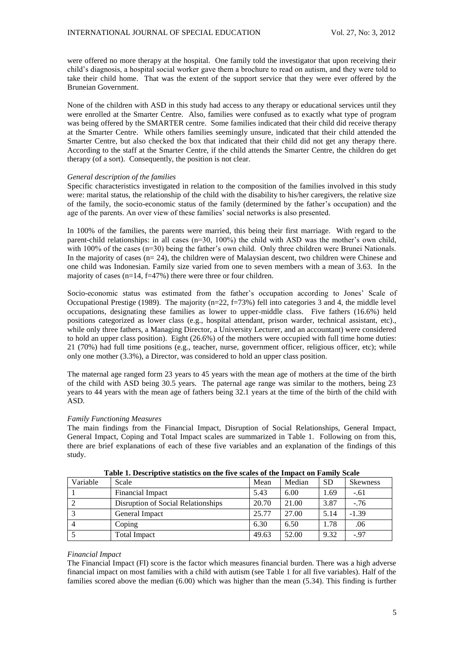were offered no more therapy at the hospital. One family told the investigator that upon receiving their child's diagnosis, a hospital social worker gave them a brochure to read on autism, and they were told to take their child home. That was the extent of the support service that they were ever offered by the Bruneian Government.

None of the children with ASD in this study had access to any therapy or educational services until they were enrolled at the Smarter Centre. Also, families were confused as to exactly what type of program was being offered by the SMARTER centre. Some families indicated that their child did receive therapy at the Smarter Centre. While others families seemingly unsure, indicated that their child attended the Smarter Centre, but also checked the box that indicated that their child did not get any therapy there. According to the staff at the Smarter Centre, if the child attends the Smarter Centre, the children do get therapy (of a sort). Consequently, the position is not clear.

## *General description of the families*

Specific characteristics investigated in relation to the composition of the families involved in this study were: marital status, the relationship of the child with the disability to his/her caregivers, the relative size of the family, the socio-economic status of the family (determined by the father's occupation) and the age of the parents. An over view of these families' social networks is also presented.

In 100% of the families, the parents were married, this being their first marriage. With regard to the parent-child relationships: in all cases (n=30, 100%) the child with ASD was the mother's own child, with 100% of the cases (n=30) being the father's own child. Only three children were Brunei Nationals. In the majority of cases  $(n=24)$ , the children were of Malaysian descent, two children were Chinese and one child was Indonesian. Family size varied from one to seven members with a mean of 3.63. In the majority of cases  $(n=14, f=47%)$  there were three or four children.

Socio-economic status was estimated from the father's occupation according to Jones' Scale of Occupational Prestige (1989). The majority (n=22, f=73%) fell into categories 3 and 4, the middle level occupations, designating these families as lower to upper-middle class. Five fathers (16.6%) held positions categorized as lower class (e.g., hospital attendant, prison warder, technical assistant, etc)., while only three fathers, a Managing Director, a University Lecturer, and an accountant) were considered to hold an upper class position). Eight (26.6%) of the mothers were occupied with full time home duties: 21 (70%) had full time positions (e.g., teacher, nurse, government officer, religious officer, etc); while only one mother (3.3%), a Director, was considered to hold an upper class position.

The maternal age ranged form 23 years to 45 years with the mean age of mothers at the time of the birth of the child with ASD being 30.5 years. The paternal age range was similar to the mothers, being 23 years to 44 years with the mean age of fathers being 32.1 years at the time of the birth of the child with ASD.

#### *Family Functioning Measures*

The main findings from the Financial Impact, Disruption of Social Relationships, General Impact, General Impact, Coping and Total Impact scales are summarized in Table 1. Following on from this, there are brief explanations of each of these five variables and an explanation of the findings of this study.

| Variable | Scale                              | Mean  | Median | <b>SD</b> | <b>Skewness</b> |
|----------|------------------------------------|-------|--------|-----------|-----------------|
|          | Financial Impact                   | 5.43  | 6.00   | 1.69      | $-.61$          |
|          | Disruption of Social Relationships | 20.70 | 21.00  | 3.87      | $-76$           |
|          | General Impact                     | 25.77 | 27.00  | 5.14      | $-1.39$         |
|          | Coping                             | 6.30  | 6.50   | 1.78      | .06             |
|          | Total Impact                       | 49.63 | 52.00  | 9.32      | $-.97$          |

**Table 1. Descriptive statistics on the five scales of the Impact on Family Scale**

#### *Financial Impact*

The Financial Impact (FI) score is the factor which measures financial burden. There was a high adverse financial impact on most families with a child with autism (see Table 1 for all five variables). Half of the families scored above the median (6.00) which was higher than the mean (5.34). This finding is further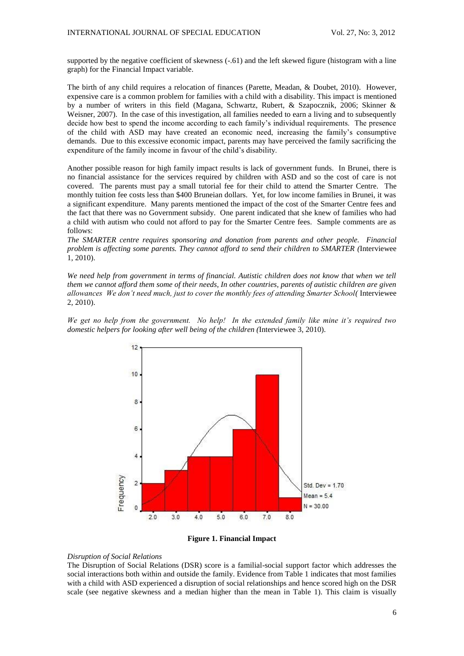supported by the negative coefficient of skewness (-.61) and the left skewed figure (histogram with a line graph) for the Financial Impact variable.

The birth of any child requires a relocation of finances (Parette, Meadan, & Doubet, 2010). However, expensive care is a common problem for families with a child with a disability. This impact is mentioned by a number of writers in this field (Magana, Schwartz, Rubert, & Szapocznik, 2006; Skinner & Weisner, 2007). In the case of this investigation, all families needed to earn a living and to subsequently decide how best to spend the income according to each family's individual requirements. The presence of the child with ASD may have created an economic need, increasing the family's consumptive demands. Due to this excessive economic impact, parents may have perceived the family sacrificing the expenditure of the family income in favour of the child's disability.

Another possible reason for high family impact results is lack of government funds. In Brunei, there is no financial assistance for the services required by children with ASD and so the cost of care is not covered. The parents must pay a small tutorial fee for their child to attend the Smarter Centre. The monthly tuition fee costs less than \$400 Bruneian dollars. Yet, for low income families in Brunei, it was a significant expenditure. Many parents mentioned the impact of the cost of the Smarter Centre fees and the fact that there was no Government subsidy. One parent indicated that she knew of families who had a child with autism who could not afford to pay for the Smarter Centre fees. Sample comments are as follows:

*The SMARTER centre requires sponsoring and donation from parents and other people. Financial problem is affecting some parents. They cannot afford to send their children to SMARTER (*Interviewee 1, 2010).

*We need help from government in terms of financial. Autistic children does not know that when we tell them we cannot afford them some of their needs, In other countries, parents of autistic children are given allowances We don't need much, just to cover the monthly fees of attending Smarter School(* Interviewee 2, 2010).

*We get no help from the government. No help! In the extended family like mine it's required two domestic helpers for looking after well being of the children (*Interviewee 3, 2010).





### *Disruption of Social Relations*

The Disruption of Social Relations (DSR) score is a familial-social support factor which addresses the social interactions both within and outside the family. Evidence from Table 1 indicates that most families with a child with ASD experienced a disruption of social relationships and hence scored high on the DSR scale (see negative skewness and a median higher than the mean in Table 1). This claim is visually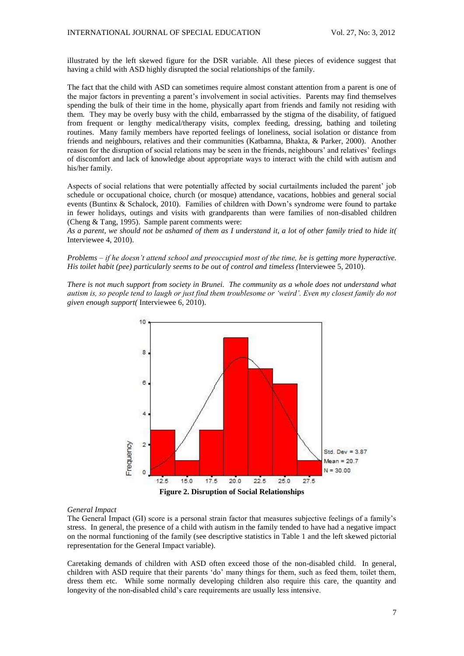illustrated by the left skewed figure for the DSR variable. All these pieces of evidence suggest that having a child with ASD highly disrupted the social relationships of the family.

The fact that the child with ASD can sometimes require almost constant attention from a parent is one of the major factors in preventing a parent's involvement in social activities. Parents may find themselves spending the bulk of their time in the home, physically apart from friends and family not residing with them. They may be overly busy with the child, embarrassed by the stigma of the disability, of fatigued from frequent or lengthy medical/therapy visits, complex feeding, dressing, bathing and toileting routines. Many family members have reported feelings of loneliness, social isolation or distance from friends and neighbours, relatives and their communities (Katbamna, Bhakta, & Parker, 2000). Another reason for the disruption of social relations may be seen in the friends, neighbours' and relatives' feelings of discomfort and lack of knowledge about appropriate ways to interact with the child with autism and his/her family.

Aspects of social relations that were potentially affected by social curtailments included the parent' job schedule or occupational choice, church (or mosque) attendance, vacations, hobbies and general social events (Buntinx & Schalock, 2010). Families of children with Down's syndrome were found to partake in fewer holidays, outings and visits with grandparents than were families of non-disabled children (Cheng & Tang, 1995). Sample parent comments were:

*As a parent, we should not be ashamed of them as I understand it, a lot of other family tried to hide it(* Interviewee 4, 2010).

*Problems – if he doesn't attend school and preoccupied most of the time, he is getting more hyperactive. His toilet habit (pee) particularly seems to be out of control and timeless (*Interviewee 5, 2010).

*There is not much support from society in Brunei. The community as a whole does not understand what autism is, so people tend to laugh or just find them troublesome or 'weird'. Even my closest family do not given enough support(* Interviewee 6, 2010).



## *General Impact*

The General Impact (GI) score is a personal strain factor that measures subjective feelings of a family's stress. In general, the presence of a child with autism in the family tended to have had a negative impact on the normal functioning of the family (see descriptive statistics in Table 1 and the left skewed pictorial representation for the General Impact variable).

Caretaking demands of children with ASD often exceed those of the non-disabled child. In general, children with ASD require that their parents 'do' many things for them, such as feed them, toilet them, dress them etc. While some normally developing children also require this care, the quantity and longevity of the non-disabled child's care requirements are usually less intensive.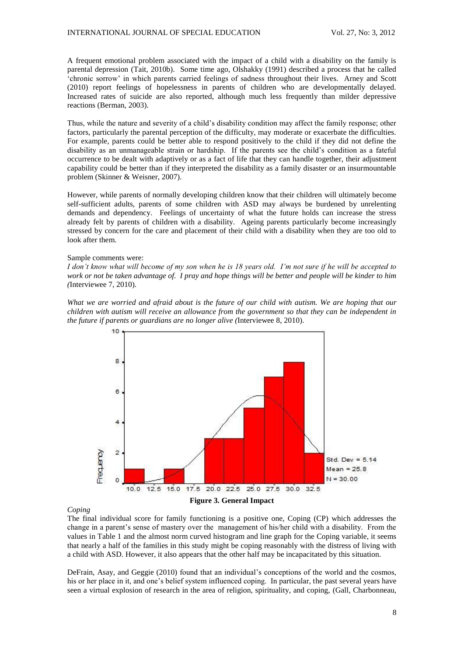A frequent emotional problem associated with the impact of a child with a disability on the family is parental depression (Tait, 2010b). Some time ago, Olshakky (1991) described a process that he called 'chronic sorrow' in which parents carried feelings of sadness throughout their lives. Arney and Scott (2010) report feelings of hopelessness in parents of children who are developmentally delayed. Increased rates of suicide are also reported, although much less frequently than milder depressive reactions (Berman, 2003).

Thus, while the nature and severity of a child's disability condition may affect the family response; other factors, particularly the parental perception of the difficulty, may moderate or exacerbate the difficulties. For example, parents could be better able to respond positively to the child if they did not define the disability as an unmanageable strain or hardship. If the parents see the child's condition as a fateful occurrence to be dealt with adaptively or as a fact of life that they can handle together, their adjustment capability could be better than if they interpreted the disability as a family disaster or an insurmountable problem (Skinner & Weisner, 2007).

However, while parents of normally developing children know that their children will ultimately become self-sufficient adults, parents of some children with ASD may always be burdened by unrelenting demands and dependency. Feelings of uncertainty of what the future holds can increase the stress already felt by parents of children with a disability. Ageing parents particularly become increasingly stressed by concern for the care and placement of their child with a disability when they are too old to look after them.

### Sample comments were:

*I don't know what will become of my son when he is 18 years old. I'm not sure if he will be accepted to work or not be taken advantage of. I pray and hope things will be better and people will be kinder to him (*Interviewee 7, 2010).

*What we are worried and afraid about is the future of our child with autism. We are hoping that our children with autism will receive an allowance from the government so that they can be independent in the future if parents or guardians are no longer alive (*Interviewee 8, 2010).



### *Coping*

The final individual score for family functioning is a positive one, Coping (CP) which addresses the change in a parent's sense of mastery over the management of his/her child with a disability. From the values in Table 1 and the almost norm curved histogram and line graph for the Coping variable, it seems that nearly a half of the families in this study might be coping reasonably with the distress of living with a child with ASD. However, it also appears that the other half may be incapacitated by this situation.

DeFrain, Asay, and Geggie (2010) found that an individual's conceptions of the world and the cosmos, his or her place in it, and one's belief system influenced coping. In particular, the past several years have seen a virtual explosion of research in the area of religion, spirituality, and coping, (Gall, Charbonneau,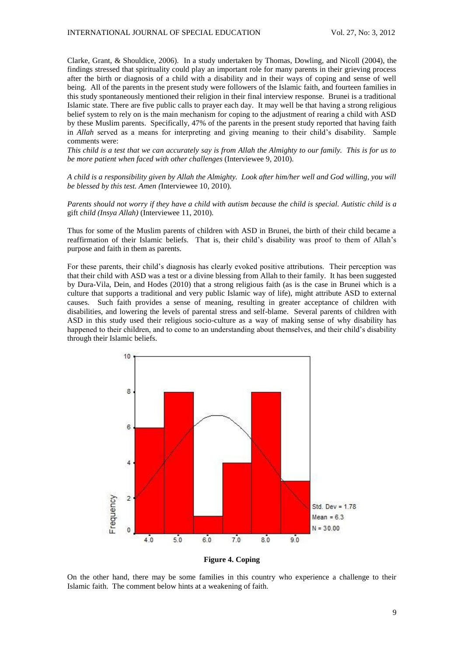Clarke, Grant, & Shouldice, 2006)*.* In a study undertaken by Thomas, Dowling, and Nicoll (2004), the findings stressed that spirituality could play an important role for many parents in their grieving process after the birth or diagnosis of a child with a disability and in their ways of coping and sense of well being. All of the parents in the present study were followers of the Islamic faith, and fourteen families in this study spontaneously mentioned their religion in their final interview response. Brunei is a traditional Islamic state. There are five public calls to prayer each day. It may well be that having a strong religious belief system to rely on is the main mechanism for coping to the adjustment of rearing a child with ASD by these Muslim parents. Specifically, 47% of the parents in the present study reported that having faith in *Allah* served as a means for interpreting and giving meaning to their child's disability. Sample comments were:

*This child is a test that we can accurately say is from Allah the Almighty to our family. This is for us to be more patient when faced with other challenges* (Interviewee 9, 2010).

*A child is a responsibility given by Allah the Almighty. Look after him/her well and God willing, you will be blessed by this test. Amen (*Interviewee 10, 2010).

*Parents should not worry if they have a child with autism because the child is special. Autistic child is a*  gift *child (Insya Allah)* (Interviewee 11, 2010).

Thus for some of the Muslim parents of children with ASD in Brunei, the birth of their child became a reaffirmation of their Islamic beliefs. That is, their child's disability was proof to them of Allah's purpose and faith in them as parents.

For these parents, their child's diagnosis has clearly evoked positive attributions. Their perception was that their child with ASD was a test or a divine blessing from Allah to their family. It has been suggested by Dura-Vila, Dein, and Hodes (2010) that a strong religious faith (as is the case in Brunei which is a culture that supports a traditional and very public Islamic way of life), might attribute ASD to external causes. Such faith provides a sense of meaning, resulting in greater acceptance of children with disabilities, and lowering the levels of parental stress and self-blame. Several parents of children with ASD in this study used their religious socio-culture as a way of making sense of why disability has happened to their children, and to come to an understanding about themselves, and their child's disability through their Islamic beliefs.



**Figure 4. Coping**

On the other hand, there may be some families in this country who experience a challenge to their Islamic faith. The comment below hints at a weakening of faith.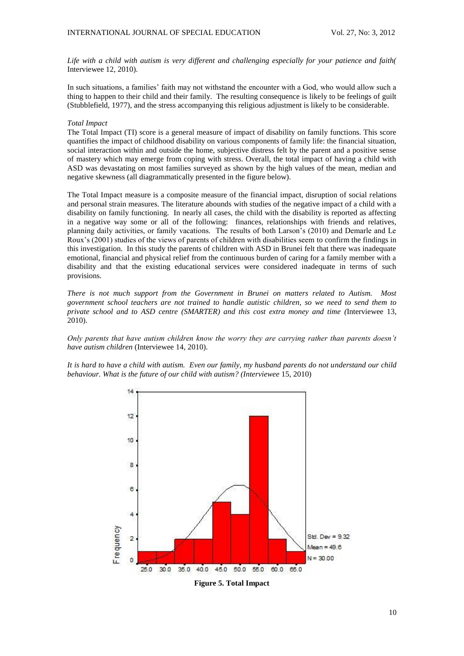*Life with a child with autism is very different and challenging especially for your patience and faith(*  Interviewee 12, 2010).

In such situations, a families' faith may not withstand the encounter with a God, who would allow such a thing to happen to their child and their family. The resulting consequence is likely to be feelings of guilt (Stubblefield, 1977), and the stress accompanying this religious adjustment is likely to be considerable.

## *Total Impact*

The Total Impact (TI) score is a general measure of impact of disability on family functions. This score quantifies the impact of childhood disability on various components of family life: the financial situation, social interaction within and outside the home, subjective distress felt by the parent and a positive sense of mastery which may emerge from coping with stress. Overall, the total impact of having a child with ASD was devastating on most families surveyed as shown by the high values of the mean, median and negative skewness (all diagrammatically presented in the figure below).

The Total Impact measure is a composite measure of the financial impact, disruption of social relations and personal strain measures. The literature abounds with studies of the negative impact of a child with a disability on family functioning. In nearly all cases, the child with the disability is reported as affecting in a negative way some or all of the following: finances, relationships with friends and relatives, planning daily activities, or family vacations. The results of both Larson's (2010) and Demarle and Le Roux's (2001) studies of the views of parents of children with disabilities seem to confirm the findings in this investigation. In this study the parents of children with ASD in Brunei felt that there was inadequate emotional, financial and physical relief from the continuous burden of caring for a family member with a disability and that the existing educational services were considered inadequate in terms of such provisions.

*There is not much support from the Government in Brunei on matters related to Autism. Most government school teachers are not trained to handle autistic children, so we need to send them to private school and to ASD centre (SMARTER) and this cost extra money and time (*Interviewee 13, 2010).

*Only parents that have autism children know the worry they are carrying rather than parents doesn't have autism children* (Interviewee 14, 2010).

*It is hard to have a child with autism. Even our family, my husband parents do not understand our child behaviour. What is the future of our child with autism? (Interviewee* 15, 2010)



**Figure 5. Total Impact**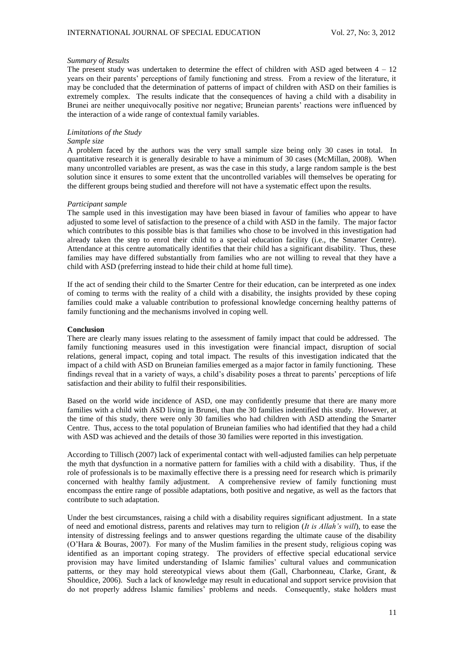#### *Summary of Results*

The present study was undertaken to determine the effect of children with ASD aged between  $4 - 12$ years on their parents' perceptions of family functioning and stress. From a review of the literature, it may be concluded that the determination of patterns of impact of children with ASD on their families is extremely complex. The results indicate that the consequences of having a child with a disability in Brunei are neither unequivocally positive nor negative; Bruneian parents' reactions were influenced by the interaction of a wide range of contextual family variables.

# *Limitations of the Study*

## *Sample size*

A problem faced by the authors was the very small sample size being only 30 cases in total. In quantitative research it is generally desirable to have a minimum of 30 cases (McMillan, 2008). When many uncontrolled variables are present, as was the case in this study, a large random sample is the best solution since it ensures to some extent that the uncontrolled variables will themselves be operating for the different groups being studied and therefore will not have a systematic effect upon the results.

## *Participant sample*

The sample used in this investigation may have been biased in favour of families who appear to have adjusted to some level of satisfaction to the presence of a child with ASD in the family. The major factor which contributes to this possible bias is that families who chose to be involved in this investigation had already taken the step to enrol their child to a special education facility (i.e., the Smarter Centre). Attendance at this centre automatically identifies that their child has a significant disability. Thus, these families may have differed substantially from families who are not willing to reveal that they have a child with ASD (preferring instead to hide their child at home full time).

If the act of sending their child to the Smarter Centre for their education, can be interpreted as one index of coming to terms with the reality of a child with a disability, the insights provided by these coping families could make a valuable contribution to professional knowledge concerning healthy patterns of family functioning and the mechanisms involved in coping well.

#### **Conclusion**

There are clearly many issues relating to the assessment of family impact that could be addressed. The family functioning measures used in this investigation were financial impact, disruption of social relations, general impact, coping and total impact. The results of this investigation indicated that the impact of a child with ASD on Bruneian families emerged as a major factor in family functioning. These findings reveal that in a variety of ways, a child's disability poses a threat to parents' perceptions of life satisfaction and their ability to fulfil their responsibilities.

Based on the world wide incidence of ASD, one may confidently presume that there are many more families with a child with ASD living in Brunei, than the 30 families indentified this study. However, at the time of this study, there were only 30 families who had children with ASD attending the Smarter Centre. Thus, access to the total population of Bruneian families who had identified that they had a child with ASD was achieved and the details of those 30 families were reported in this investigation.

According to Tillisch (2007) lack of experimental contact with well-adjusted families can help perpetuate the myth that dysfunction in a normative pattern for families with a child with a disability. Thus, if the role of professionals is to be maximally effective there is a pressing need for research which is primarily concerned with healthy family adjustment. A comprehensive review of family functioning must encompass the entire range of possible adaptations, both positive and negative, as well as the factors that contribute to such adaptation.

Under the best circumstances, raising a child with a disability requires significant adjustment. In a state of need and emotional distress, parents and relatives may turn to religion (*It is Allah's will*), to ease the intensity of distressing feelings and to answer questions regarding the ultimate cause of the disability (O'Hara & Bouras, 2007). For many of the Muslim families in the present study, religious coping was identified as an important coping strategy. The providers of effective special educational service provision may have limited understanding of Islamic families' cultural values and communication patterns, or they may hold stereotypical views about them (Gall, Charbonneau, Clarke, Grant, & Shouldice, 2006). Such a lack of knowledge may result in educational and support service provision that do not properly address Islamic families' problems and needs. Consequently, stake holders must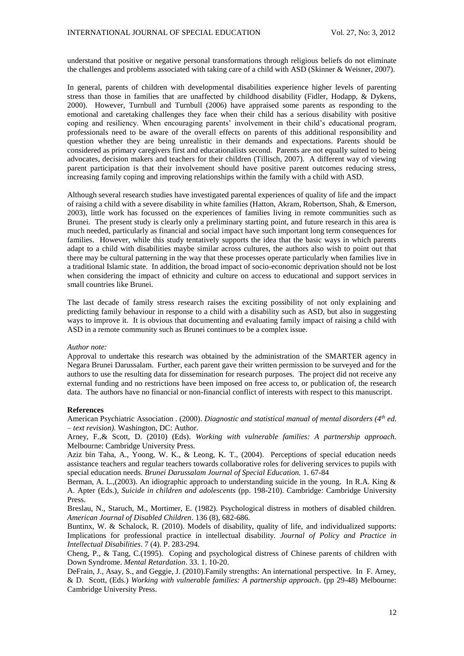understand that positive or negative personal transformations through religious beliefs do not eliminate the challenges and problems associated with taking care of a child with ASD (Skinner & Weisner, 2007).

In general, parents of children with developmental disabilities experience higher levels of parenting stress than those in families that are unaffected by childhood disability (Fidler, Hodapp, & Dykens, 2000). However, Turnbull and Turnbull (2006) have appraised some parents as responding to the emotional and caretaking challenges they face when their child has a serious disability with positive coping and resiliency. When encouraging parents' involvement in their child's educational program, professionals need to be aware of the overall effects on parents of this additional responsibility and question whether they are being unrealistic in their demands and expectations. Parents should be considered as primary caregivers first and educationalists second. Parents are not equally suited to being advocates, decision makers and teachers for their children (Tillisch, 2007). A different way of viewing parent participation is that their involvement should have positive parent outcomes reducing stress, increasing family coping and improving relationships within the family with a child with ASD.

Although several research studies have investigated parental experiences of quality of life and the impact of raising a child with a severe disability in white families (Hatton, Akram, Robertson, Shah, & Emerson, 2003), little work has focussed on the experiences of families living in remote communities such as Brunei. The present study is clearly only a preliminary starting point, and future research in this area is much needed, particularly as financial and social impact have such important long term consequences for families. However, while this study tentatively supports the idea that the basic ways in which parents adapt to a child with disabilities maybe similar across cultures, the authors also wish to point out that there may be cultural patterning in the way that these processes operate particularly when families live in a traditional Islamic state. In addition, the broad impact of socio-economic deprivation should not be lost when considering the impact of ethnicity and culture on access to educational and support services in small countries like Brunei.

The last decade of family stress research raises the exciting possibility of not only explaining and predicting family behaviour in response to a child with a disability such as ASD, but also in suggesting ways to improve it. It is obvious that documenting and evaluating family impact of raising a child with ASD in a remote community such as Brunei continues to be a complex issue.

#### *Author note:*

Approval to undertake this research was obtained by the administration of the SMARTER agency in Negara Brunei Darussalam. Further, each parent gave their written permission to be surveyed and for the authors to use the resulting data for dissemination for research purposes. The project did not receive any external funding and no restrictions have been imposed on free access to, or publication of, the research data. The authors have no financial or non-financial conflict of interests with respect to this manuscript.

### **References**

American Psychiatric Association . (2000). *Diagnostic and statistical manual of mental disorders (4th ed. – text revision).* Washington, DC: Author.

Arney, F.,& Scott, D. (2010) (Eds). *Working with vulnerable families: A partnership approach.* Melbourne: Cambridge University Press.

Aziz bin Taha, A., Yoong, W. K., & Leong, K. T., (2004). Perceptions of special education needs assistance teachers and regular teachers towards collaborative roles for delivering services to pupils with special education needs*. Brunei Darussalam Journal of Special Education.* 1. 67-84

Berman, A. L.,(2003). An idiographic approach to understanding suicide in the young. In R.A. King & A. Apter (Eds.), *Suicide in children and adolescents* (pp. 198-210). Cambridge: Cambridge University Press.

Breslau, N., Staruch, M., Mortimer, E. (1982). Psychological distress in mothers of disabled children. *American Journal of Disabled Children*. 136 (8), 682-686.

Buntinx, W. & Schalock, R. (2010). Models of disability, quality of life, and individualized supports: Implications for professional practice in intellectual disability. *Journal of Policy and Practice in Intellectual Disabilities*. 7 (4). P. 283-294.

Cheng, P., & Tang, C.(1995). Coping and psychological distress of Chinese parents of children with Down Syndrome. *Mental Retardation*. 33. 1. 10-20.

DeFrain, J., Asay, S., and Geggie, J. (2010).Family strengths: An international perspective. In F. Arney, & D. Scott, (Eds.) *Working with vulnerable families: A partnership approach*. (pp 29-48) Melbourne: Cambridge University Press.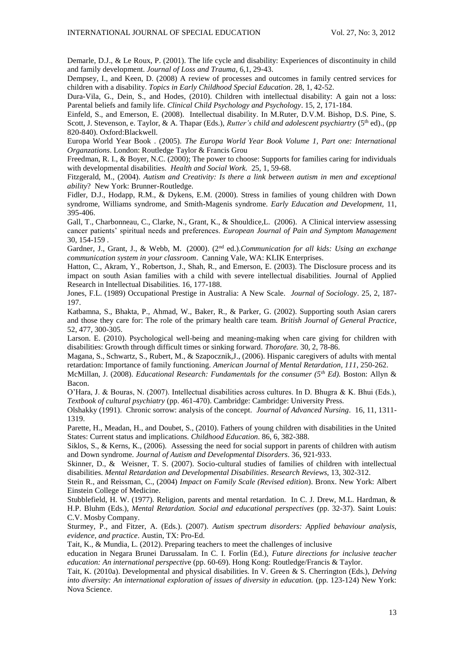Demarle, D.J., & Le Roux, P. (2001). The life cycle and disability: Experiences of discontinuity in child and family development. *Journal of Loss and Trauma*, 6,1, 29-43.

Dempsey, I., and Keen, D. (2008) A review of processes and outcomes in family centred services for children with a disability. *Topics in Early Childhood Special Education*. 28, 1, 42-52.

Dura-Vila, G., Dein, S., and Hodes, (2010). Children with intellectual disability: A gain not a loss: Parental beliefs and family life. *Clinical Child Psychology and Psychology*. 15, 2, 171-184.

Einfeld, S., and Emerson, E. (2008). Intellectual disability. In M.Ruter, D.V.M. Bishop, D.S. Pine, S. Scott, J. Stevenson, e. Taylor, & A. Thapar (Eds.), *Rutter's child and adolescent psychiartry* (5<sup>th</sup> ed)., (pp 820-840). Oxford:Blackwell.

Europa World Year Book . (2005). *The Europa World Year Book Volume 1, Part one: International Organzations*. London: Routledge Taylor & Francis Grou

Freedman, R. I., & Boyer, N.C. (2000); The power to choose: Supports for families caring for individuals with developmental disabilities. *Health and Social Work.* 25, 1, 59-68.

Fitzgerald, M., (2004). *Autism and Creativity: Is there a link between autism in men and exceptional ability*? New York: Brunner-Routledge.

Fidler, D.J., Hodapp, R.M., & Dykens, E.M. (2000). Stress in families of young children with Down syndrome, Williams syndrome, and Smith-Magenis syndrome. *Early Education and Development,* 11, 395-406.

Gall, T., Charbonneau, C., Clarke, N., Grant, K., & Shouldice,L. (2006). A Clinical interview assessing cancer patients' spiritual needs and preferences. *European Journal of Pain and Symptom Management* 30, 154-159 .

Gardner, J., Grant, J., & Webb, M. (2000). (2nd ed.).*Communication for all kids: Using an exchange communication system in your classroom*. Canning Vale, WA: KLIK Enterprises.

Hatton, C., Akram, Y., Robertson, J., Shah, R., and Emerson, E. (2003). The Disclosure process and its impact on south Asian families with a child with severe intellectual disabilities. Journal of Applied Research in Intellectual Disabilities. 16, 177-188.

Jones, F.L. (1989) Occupational Prestige in Australia: A New Scale. *Journal of Sociology*. 25, 2, 187- 197.

Katbamna, S., Bhakta, P., Ahmad, W., Baker, R., & Parker, G. (2002). Supporting south Asian carers and those they care for: The role of the primary health care team. *British Journal of General Practice*, 52, 477, 300-305.

Larson. E. (2010). Psychological well-being and meaning-making when care giving for children with disabilities: Growth through difficult times or sinking forward. *Thorofare.* 30, 2, 78-86.

Magana, S., Schwartz, S., Rubert, M., & Szapocznik,J., (2006). Hispanic caregivers of adults with mental retardation: Importance of family functioning. *American Journal of Mental Retardation, 111*, 250-262.

McMillan, J. (2008). *Educational Research: Fundamentals for the consumer (5th Ed).* Boston: Allyn & Bacon.

O'Hara, J. & Bouras, N. (2007). Intellectual disabilities across cultures. In D. Bhugra & K. Bhui (Eds.), *Textbook of cultural psychiatry* (pp. 461-470). Cambridge: Cambridge: University Press.

Olshakky (1991). Chronic sorrow: analysis of the concept*. Journal of Advanced Nursing*. 16, 11, 1311- 1319.

Parette, H., Meadan, H., and Doubet, S., (2010). Fathers of young children with disabilities in the United States: Current status and implications. *Childhood Education*. 86, 6, 382-388.

Siklos, S., & Kerns, K., (2006). Assessing the need for social support in parents of children with autism and Down syndrome. *Journal of Autism and Developmental Disorders*. 36, 921-933.

Skinner, D., & Weisner, T. S. (2007). Socio-cultural studies of families of children with intellectual disabilities. *Mental Retardation and Developmental Disabilities*. *Research Reviews*, 13, 302-312.

Stein R., and Reissman, C., (2004) *Impact on Family Scale (Revised edition*). Bronx. New York: Albert Einstein College of Medicine.

Stubblefield, H. W. (1977). Religion, parents and mental retardation. In C. J. Drew, M.L. Hardman, & H.P. Bluhm (Eds.), *Mental Retardation. Social and educational perspectives* (pp. 32-37). Saint Louis: C.V. Mosby Company.

Sturmey, P., and Fitzer, A. (Eds.). (2007). *Autism spectrum disorders: Applied behaviour analysis, evidence, and practice*. Austin, TX: Pro-Ed.

Tait, K., & Mundia, L. (2012). Preparing teachers to meet the challenges of inclusive

education in Negara Brunei Darussalam. In C. I. Forlin (Ed.), *Future directions for inclusive teacher education: An international perspectiv*e (pp. 60-69). Hong Kong: Routledge/Francis & Taylor.

Tait, K. (2010a). Developmental and physical disabilities. In V. Green & S. Cherrington (Eds.), *Delving into diversity: An international exploration of issues of diversity in education.* (pp. 123-124) New York: Nova Science.